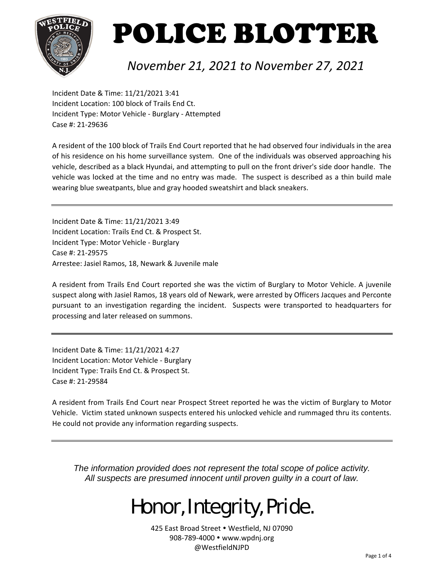

### *November 21, 2021 to November 27, 2021*

Incident Date & Time: 11/21/2021 3:41 Incident Location: 100 block of Trails End Ct. Incident Type: Motor Vehicle ‐ Burglary ‐ Attempted Case #: 21‐29636

A resident of the 100 block of Trails End Court reported that he had observed four individuals in the area of his residence on his home surveillance system. One of the individuals was observed approaching his vehicle, described as a black Hyundai, and attempting to pull on the front driver's side door handle. The vehicle was locked at the time and no entry was made. The suspect is described as a thin build male wearing blue sweatpants, blue and gray hooded sweatshirt and black sneakers.

Incident Date & Time: 11/21/2021 3:49 Incident Location: Trails End Ct. & Prospect St. Incident Type: Motor Vehicle ‐ Burglary Case #: 21‐29575 Arrestee: Jasiel Ramos, 18, Newark & Juvenile male

A resident from Trails End Court reported she was the victim of Burglary to Motor Vehicle. A juvenile suspect along with Jasiel Ramos, 18 years old of Newark, were arrested by Officers Jacques and Perconte pursuant to an investigation regarding the incident. Suspects were transported to headquarters for processing and later released on summons.

Incident Date & Time: 11/21/2021 4:27 Incident Location: Motor Vehicle ‐ Burglary Incident Type: Trails End Ct. & Prospect St. Case #: 21‐29584

A resident from Trails End Court near Prospect Street reported he was the victim of Burglary to Motor Vehicle. Victim stated unknown suspects entered his unlocked vehicle and rummaged thru its contents. He could not provide any information regarding suspects.

*The information provided does not represent the total scope of police activity. All suspects are presumed innocent until proven guilty in a court of law.* 

## Honor, Integrity, Pride.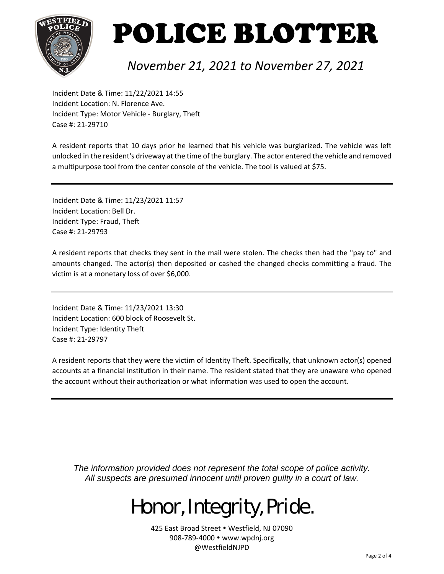

### *November 21, 2021 to November 27, 2021*

Incident Date & Time: 11/22/2021 14:55 Incident Location: N. Florence Ave. Incident Type: Motor Vehicle ‐ Burglary, Theft Case #: 21‐29710

A resident reports that 10 days prior he learned that his vehicle was burglarized. The vehicle was left unlocked in the resident's driveway at the time of the burglary. The actor entered the vehicle and removed a multipurpose tool from the center console of the vehicle. The tool is valued at \$75.

Incident Date & Time: 11/23/2021 11:57 Incident Location: Bell Dr. Incident Type: Fraud, Theft Case #: 21‐29793

A resident reports that checks they sent in the mail were stolen. The checks then had the "pay to" and amounts changed. The actor(s) then deposited or cashed the changed checks committing a fraud. The victim is at a monetary loss of over \$6,000.

Incident Date & Time: 11/23/2021 13:30 Incident Location: 600 block of Roosevelt St. Incident Type: Identity Theft Case #: 21‐29797

A resident reports that they were the victim of Identity Theft. Specifically, that unknown actor(s) opened accounts at a financial institution in their name. The resident stated that they are unaware who opened the account without their authorization or what information was used to open the account.

*The information provided does not represent the total scope of police activity. All suspects are presumed innocent until proven guilty in a court of law.* 

## Honor, Integrity, Pride.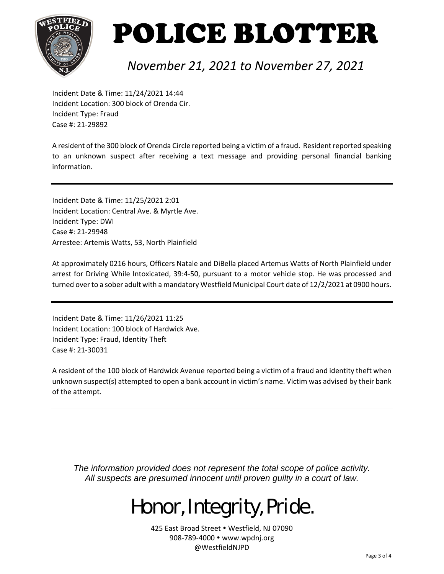

### *November 21, 2021 to November 27, 2021*

Incident Date & Time: 11/24/2021 14:44 Incident Location: 300 block of Orenda Cir. Incident Type: Fraud Case #: 21‐29892

A resident of the 300 block of Orenda Circle reported being a victim of a fraud. Resident reported speaking to an unknown suspect after receiving a text message and providing personal financial banking information.

Incident Date & Time: 11/25/2021 2:01 Incident Location: Central Ave. & Myrtle Ave. Incident Type: DWI Case #: 21‐29948 Arrestee: Artemis Watts, 53, North Plainfield

At approximately 0216 hours, Officers Natale and DiBella placed Artemus Watts of North Plainfield under arrest for Driving While Intoxicated, 39:4‐50, pursuant to a motor vehicle stop. He was processed and turned over to a sober adult with a mandatory Westfield Municipal Court date of 12/2/2021 at 0900 hours.

Incident Date & Time: 11/26/2021 11:25 Incident Location: 100 block of Hardwick Ave. Incident Type: Fraud, Identity Theft Case #: 21‐30031

A resident of the 100 block of Hardwick Avenue reported being a victim of a fraud and identity theft when unknown suspect(s) attempted to open a bank account in victim's name. Victim was advised by their bank of the attempt.

*The information provided does not represent the total scope of police activity. All suspects are presumed innocent until proven guilty in a court of law.* 

## Honor, Integrity, Pride.